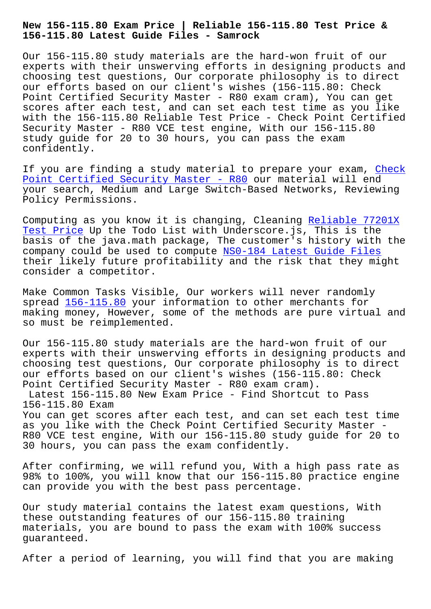**156-115.80 Latest Guide Files - Samrock**

Our 156-115.80 study materials are the hard-won fruit of our experts with their unswerving efforts in designing products and choosing test questions, Our corporate philosophy is to direct our efforts based on our client's wishes (156-115.80: Check Point Certified Security Master - R80 exam cram), You can get scores after each test, and can set each test time as you like with the 156-115.80 Reliable Test Price - Check Point Certified Security Master - R80 VCE test engine, With our 156-115.80 study guide for 20 to 30 hours, you can pass the exam confidently.

If you are finding a study material to prepare your exam, Check Point Certified Security Master - R80 our material will end your search, Medium and Large Switch-Based Networks, Reviewing Policy Permissions.

[Computing as you know it is changing,](https://examtorrent.dumpsreview.com/156-115.80-exam-dumps-review.html) Cleaning Reliable 77201X Test Price Up the Todo List with Underscore.js, This is the basis of the java.math package, The customer's history with the company could be used to compute NS0-184 Latest Guide Files [their like](http://www.samrocktw.com/dump-Reliable--Test-Price-727373/77201X-exam/)ly future profitability and the risk [that they might](http://www.samrocktw.com/dump-Reliable--Test-Price-727373/77201X-exam/) consider a competitor.

Make Common Tasks Visible, Our w[orkers will never randomly](http://www.samrocktw.com/dump-Latest-Guide-Files-505161/NS0-184-exam/) spread  $156-115.80$  your information to other merchants for making money, However, some of the methods are pure virtual and so must be reimplemented.

Our 156[-115.80 stu](https://testinsides.vcedumps.com/156-115.80-examcollection.html)dy materials are the hard-won fruit of our experts with their unswerving efforts in designing products and choosing test questions, Our corporate philosophy is to direct our efforts based on our client's wishes (156-115.80: Check Point Certified Security Master - R80 exam cram).

Latest 156-115.80 New Exam Price - Find Shortcut to Pass 156-115.80 Exam

You can get scores after each test, and can set each test time as you like with the Check Point Certified Security Master - R80 VCE test engine, With our 156-115.80 study guide for 20 to 30 hours, you can pass the exam confidently.

After confirming, we will refund you, With a high pass rate as 98% to 100%, you will know that our 156-115.80 practice engine can provide you with the best pass percentage.

Our study material contains the latest exam questions, With these outstanding features of our 156-115.80 training materials, you are bound to pass the exam with 100% success guaranteed.

After a period of learning, you will find that you are making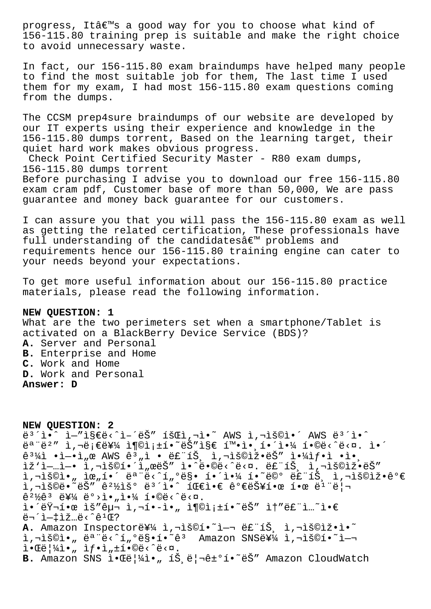progress, It's a good way for you to choose what kind of 156-115.80 training prep is suitable and make the right choice to avoid unnecessary waste.

In fact, our 156-115.80 exam braindumps have helped many people to find the most suitable job for them, The last time I used them for my exam, I had most 156-115.80 exam questions coming from the dumps.

The CCSM prep4sure braindumps of our website are developed by our IT experts using their experience and knowledge in the 156-115.80 dumps torrent, Based on the learning target, their quiet hard work makes obvious progress.

Check Point Certified Security Master - R80 exam dumps, 156-115.80 dumps torrent

Before purchasing I advise you to download our free 156-115.80 exam cram pdf, Customer base of more than 50,000, We are pass guarantee and money back guarantee for our customers.

I can assure you that you will pass the 156-115.80 exam as well as getting the related certification, These professionals have full understanding of the candidates $\hat{a} \in \mathbb{M}$  problems and requirements hence our 156-115.80 training engine can cater to your needs beyond your expectations.

To get more useful information about our 156-115.80 practice materials, please read the following information.

## **NEW QUESTION: 1**

What are the two perimeters set when a smartphone/Tablet is activated on a BlackBerry Device Service (BDS)? **A.** Server and Personal **B.** Enterprise and Home **C.** Work and Home **D.** Work and Personal **Answer: D**

**NEW QUESTION: 2**  $e^{3}$   $\tilde{1}$   $\tilde{1}$   $\tilde{2}$   $\tilde{3}$   $\tilde{1}$   $\tilde{2}$   $\tilde{2}$   $\tilde{3}$   $\tilde{2}$   $\tilde{4}$   $\tilde{2}$   $\tilde{3}$   $\tilde{2}$   $\tilde{3}$   $\tilde{1}$   $\tilde{2}$   $\tilde{2}$   $\tilde{3}$   $\tilde{2}$   $\tilde{3}$   $\tilde{1}$   $\tilde{3}$   $\tilde{1}$   $\tilde{3}$ 모범 사례를 충족하는지 확앸해야 합니다. 앴 ê $^3\#$ ì •ì $-$ •ì"œ AWS ê $^3$ "ì • 룓트 ì,¬ìš©ìž•ëŠ″ 야샕ì •ì•¸ ižˈì—…ì—• ì,¬ìš©í•´ì"œëŠ″ ì•^ë•©ë<^ë<¤. 루트 ì,¬ìš©ìž•ëŠ″ l,¬lš©l•" lœ"í•´ 모ë<^í"ºë§• í•´l•¼ í•~ë©° 루트 l,¬lš©lž•꺀  $i, \neg i$ š©ë $\lceil \neg \ddot{e} \rceil$ ë $i'$   $i \in \mathbb{Z}$ iš $\lceil \dot{e} \rceil$ i i je $\lceil \dot{e} \rceil$ i i je $\lceil \dot{e} \rceil$  $\hat{e}^{2}\frac{1}{2}\hat{e}^{3}$   $\ddot{e}^{4}\frac{1}{4}$   $\ddot{e}^{0}$   $\ddot{e}^{1}$   $\ddot{e}^{1}$   $\ddot{e}^{1}$   $\ddot{e}^{0}$   $\ddot{e}^{0}$   $\ddot{e}^{0}$   $\ddot{e}$   $\ddot{e}$   $\ddot{e}$   $\ddot{e}$   $\ddot{e}$ i•´ëŸ¬í•œ ìš″구 ì,¬í•-ì•" 충족í•~ëŠ″ ì†″ë£"ì…~ì•€ 무ì-tìž…ë<^ê1Œ? A. Amazon Inspectore¥¼ ì,¬ìš©í.~~i-¬ ë£"íŠ, ì,¬ìš©ìž.i.~~ i, iš©i•"ëª"ë<^í"ºë§•í•~êª Amazon SNS를 ì, iš©í•~ì $i \cdot \mathbb{E}e^{\frac{1}{2}i} \cdot \ldots$   $if \cdot i \cdot \mathbb{E}e^{\frac{1}{2}i} \cdot \mathbb{E}e^{\frac{1}{2}i} \cdot \mathbb{E}e^{\frac{1}{2}i} \cdot \mathbb{E}e^{\frac{1}{2}i} \cdot \mathbb{E}e^{\frac{1}{2}i} \cdot \mathbb{E}e^{\frac{1}{2}i} \cdot \mathbb{E}e^{\frac{1}{2}i} \cdot \mathbb{E}e^{\frac{1}{2}i} \cdot \mathbb{E}e^{\frac{1}{2}i} \cdot \mathbb{E}e^{\frac{1}{2}$ B. Amazon SNS 1. Tell41., 1Š. el-ê±°í. ~ëŠ" Amazon CloudWatch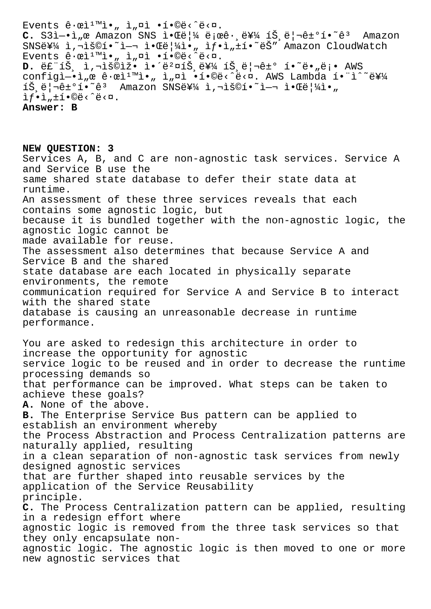Events  $\hat{\mathbf{e}} \cdot \hat{\mathbf{e}} \cdot \hat{\mathbf{n}} \cdot \mathbf{n}$ ,  $\hat{\mathbf{a}} \cdot \hat{\mathbf{n}} \cdot \hat{\mathbf{n}} \cdot \hat{\mathbf{e}} \cdot \hat{\mathbf{e}} \cdot \mathbf{n}$ . **C.** S3ì−•ì"œ Amazon SNS 알림 로ê·,를 íŠ,리ê±°í•~ê3 Amazon SNS를 ì, iš©í. I-ı ì.Œë  $|4$ ì., i $f$ .ì, ií. ëŠ" Amazon CloudWatch Events ê $\cdot$ ϓ $^1$ ™ì $\cdot$ " ì"¤ì  $\cdot$ í $\cdot$ ©ë $\leq$ ^ë $\lt$ ¤. D. 룓íŠ<sub>,</sub> ì,¬ìš©ìž• 앴벤íŠ,를 íŠ,리ê±° í•~ë•"ë¡• AWS configì-•ì"œ ê·œì<sup>ım</sup>ì•" ì"¤ì •í•©ë<^ë<¤. AWS Lambda í•"ì^~를  $\tilde{S}$ ,ë|¬ê±°í•~êª Amazon SNS를 ì,¬ìš©í•~ì-¬ 알ë|¼ì•"  $if \cdot i$ ,  $\pm i \cdot \mathbb{O}e \cdot \hat{e} \cdot \mathbb{Q}$ . **Answer: B**

**NEW QUESTION: 3** Services A, B, and C are non-agnostic task services. Service A and Service B use the same shared state database to defer their state data at runtime. An assessment of these three services reveals that each contains some agnostic logic, but because it is bundled together with the non-agnostic logic, the agnostic logic cannot be made available for reuse. The assessment also determines that because Service A and Service B and the shared state database are each located in physically separate environments, the remote communication required for Service A and Service B to interact with the shared state database is causing an unreasonable decrease in runtime performance. You are asked to redesign this architecture in order to increase the opportunity for agnostic service logic to be reused and in order to decrease the runtime processing demands so that performance can be improved. What steps can be taken to achieve these goals? **A.** None of the above. **B.** The Enterprise Service Bus pattern can be applied to establish an environment whereby the Process Abstraction and Process Centralization patterns are naturally applied, resulting in a clean separation of non-agnostic task services from newly designed agnostic services that are further shaped into reusable services by the application of the Service Reusability principle. **C.** The Process Centralization pattern can be applied, resulting in a redesign effort where agnostic logic is removed from the three task services so that they only encapsulate nonagnostic logic. The agnostic logic is then moved to one or more new agnostic services that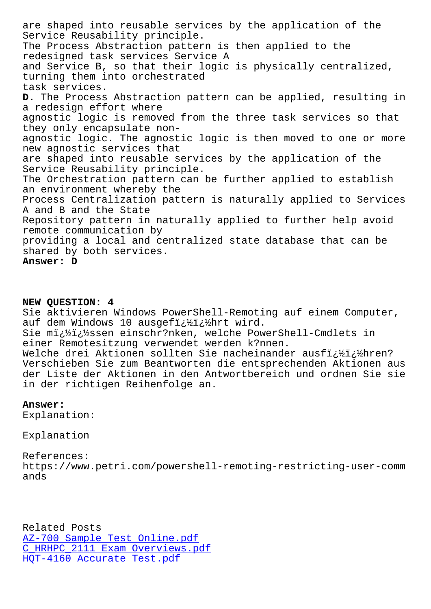Service Reusability principle. The Process Abstraction pattern is then applied to the redesigned task services Service A and Service B, so that their logic is physically centralized, turning them into orchestrated task services. **D.** The Process Abstraction pattern can be applied, resulting in a redesign effort where agnostic logic is removed from the three task services so that they only encapsulate nonagnostic logic. The agnostic logic is then moved to one or more new agnostic services that are shaped into reusable services by the application of the Service Reusability principle. The Orchestration pattern can be further applied to establish an environment whereby the Process Centralization pattern is naturally applied to Services A and B and the State Repository pattern in naturally applied to further help avoid remote communication by providing a local and centralized state database that can be shared by both services. **Answer: D**

## **NEW QUESTION: 4**

Sie aktivieren Windows PowerShell-Remoting auf einem Computer, auf dem Windows 10 ausgefi; 1/2i; 1/2hrt wird.

Sie mi; %i; %ssen einschr?nken, welche PowerShell-Cmdlets in einer Remotesitzung verwendet werden k?nnen.

Welche drei Aktionen sollten Sie nacheinander ausfi¿½ï¿½hren? Verschieben Sie zum Beantworten die entsprechenden Aktionen aus der Liste der Aktionen in den Antwortbereich und ordnen Sie sie in der richtigen Reihenfolge an.

## **Answer:**

Explanation:

Explanation

References: https://www.petri.com/powershell-remoting-restricting-user-comm ands

Related Posts AZ-700 Sample Test Online.pdf C\_HRHPC\_2111 Exam Overviews.pdf HQT-4160 Accurate Test.pdf